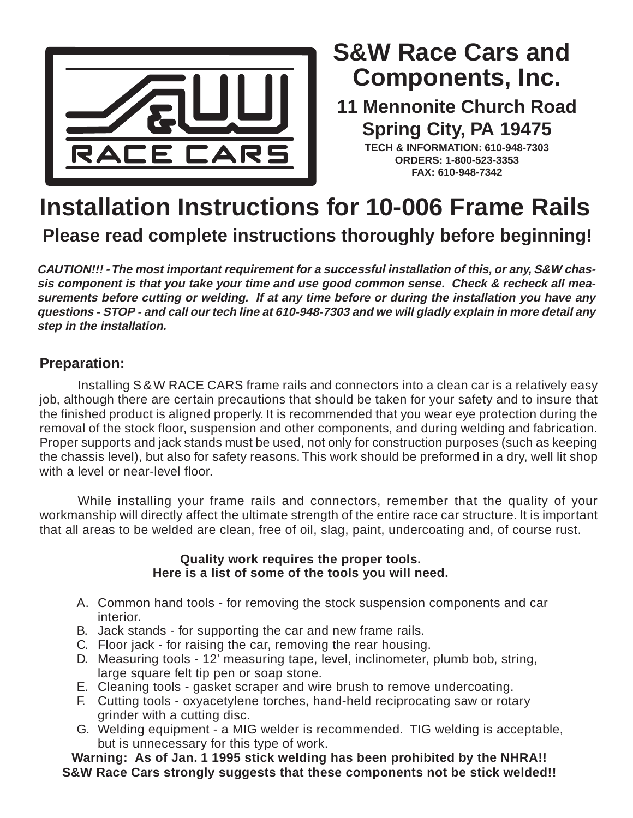

# **Components, Inc. S&W Race Cars and**

**11 Mennonite Church Road Spring City, PA 19475**

**TECH & INFORMATION: 610-948-7303 ORDERS: 1-800-523-3353 FAX: 610-948-7342**

## **Installation Instructions for 10-006 Frame Rails Please read complete instructions thoroughly before beginning!**

**CAUTION!!! - The most important requirement for a successful installation of this, or any, S&W chassis component is that you take your time and use good common sense. Check & recheck all measurements before cutting or welding. If at any time before or during the installation you have any questions - STOP - and call our tech line at 610-948-7303 and we will gladly explain in more detail any step in the installation.**

### **Preparation:**

Installing S &W RACE CARS frame rails and connectors into a clean car is a relatively easy job, although there are certain precautions that should be taken for your safety and to insure that the finished product is aligned properly. It is recommended that you wear eye protection during the removal of the stock floor, suspension and other components, and during welding and fabrication. Proper supports and jack stands must be used, not only for construction purposes (such as keeping the chassis level), but also for safety reasons. This work should be preformed in a dry, well lit shop with a level or near-level floor.

While installing your frame rails and connectors, remember that the quality of your workmanship will directly affect the ultimate strength of the entire race car structure. It is important that all areas to be welded are clean, free of oil, slag, paint, undercoating and, of course rust.

#### **Quality work requires the proper tools. Here is a list of some of the tools you will need.**

- A. Common hand tools for removing the stock suspension components and car interior.
- B. Jack stands for supporting the car and new frame rails.
- C. Floor jack for raising the car, removing the rear housing.
- D. Measuring tools 12' measuring tape, level, inclinometer, plumb bob, string, large square felt tip pen or soap stone.
- E. Cleaning tools gasket scraper and wire brush to remove undercoating.
- F. Cutting tools oxyacetylene torches, hand-held reciprocating saw or rotary grinder with a cutting disc.
- G. Welding equipment a MIG welder is recommended. TIG welding is acceptable, but is unnecessary for this type of work.

**Warning: As of Jan. 1 1995 stick welding has been prohibited by the NHRA!! S&W Race Cars strongly suggests that these components not be stick welded!!**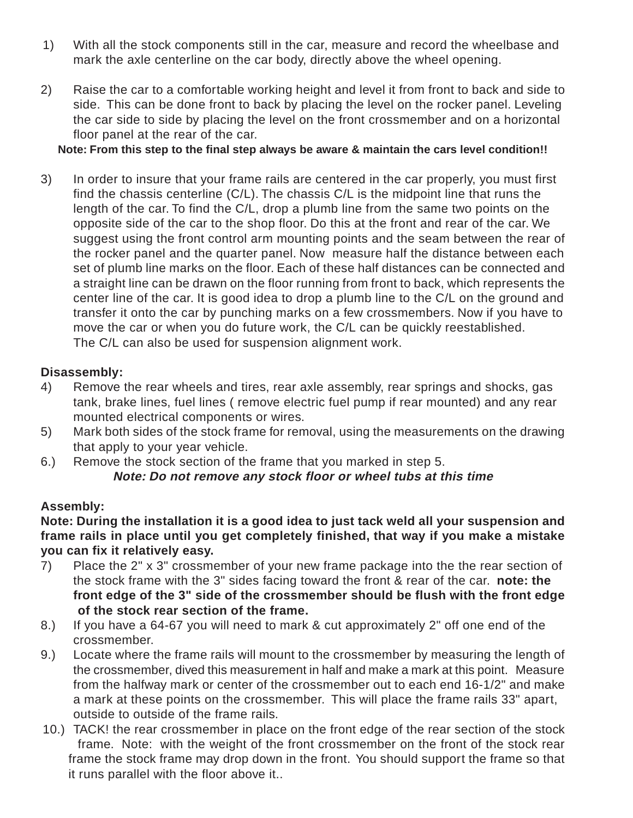- 1) With all the stock components still in the car, measure and record the wheelbase and mark the axle centerline on the car body, directly above the wheel opening.
- 2) Raise the car to a comfortable working height and level it from front to back and side to side. This can be done front to back by placing the level on the rocker panel. Leveling the car side to side by placing the level on the front crossmember and on a horizontal floor panel at the rear of the car.

#### **Note: From this step to the final step always be aware & maintain the cars level condition!!**

3) In order to insure that your frame rails are centered in the car properly, you must first find the chassis centerline (C/L). The chassis C/L is the midpoint line that runs the length of the car. To find the C/L, drop a plumb line from the same two points on the opposite side of the car to the shop floor. Do this at the front and rear of the car. We suggest using the front control arm mounting points and the seam between the rear of the rocker panel and the quarter panel. Now measure half the distance between each set of plumb line marks on the floor. Each of these half distances can be connected and a straight line can be drawn on the floor running from front to back, which represents the center line of the car. It is good idea to drop a plumb line to the C/L on the ground and transfer it onto the car by punching marks on a few crossmembers. Now if you have to move the car or when you do future work, the C/L can be quickly reestablished. The C/L can also be used for suspension alignment work.

#### **Disassembly:**

- 4) Remove the rear wheels and tires, rear axle assembly, rear springs and shocks, gas tank, brake lines, fuel lines ( remove electric fuel pump if rear mounted) and any rear mounted electrical components or wires.
- 5) Mark both sides of the stock frame for removal, using the measurements on the drawing that apply to your year vehicle.
- 6.) Remove the stock section of the frame that you marked in step 5. **Note: Do not remove any stock floor or wheel tubs at this time**

### **Assembly:**

**Note: During the installation it is a good idea to just tack weld all your suspension and frame rails in place until you get completely finished, that way if you make a mistake you can fix it relatively easy.**

- 7) Place the 2" x 3" crossmember of your new frame package into the the rear section of the stock frame with the 3" sides facing toward the front & rear of the car. **note: the front edge of the 3" side of the crossmember should be flush with the front edge of the stock rear section of the frame.**
- 8.) If you have a 64-67 you will need to mark & cut approximately 2" off one end of the crossmember.
- 9.) Locate where the frame rails will mount to the crossmember by measuring the length of the crossmember, dived this measurement in half and make a mark at this point. Measure from the halfway mark or center of the crossmember out to each end 16-1/2" and make a mark at these points on the crossmember. This will place the frame rails 33" apart, outside to outside of the frame rails.
- 10.) TACK! the rear crossmember in place on the front edge of the rear section of the stock frame. Note: with the weight of the front crossmember on the front of the stock rear frame the stock frame may drop down in the front. You should support the frame so that it runs parallel with the floor above it..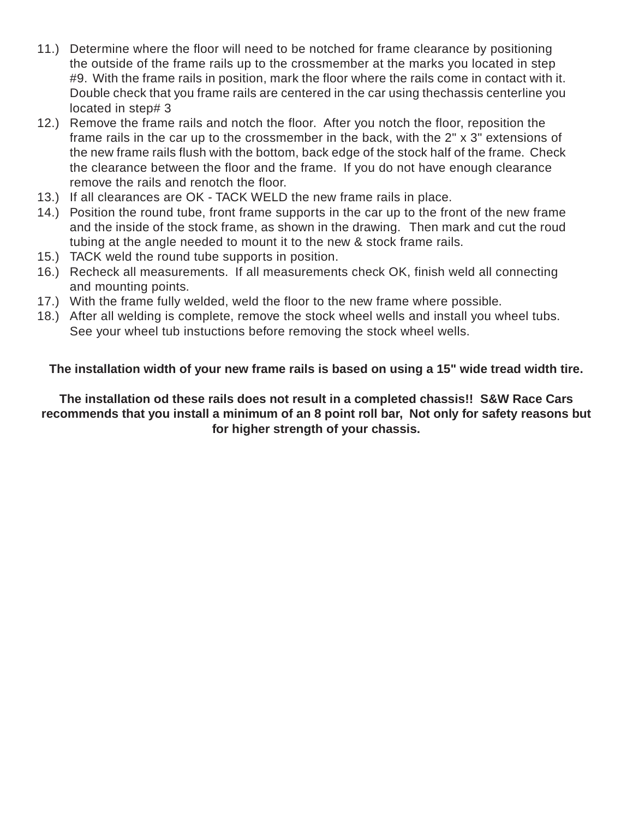- 11.) Determine where the floor will need to be notched for frame clearance by positioning the outside of the frame rails up to the crossmember at the marks you located in step #9. With the frame rails in position, mark the floor where the rails come in contact with it. Double check that you frame rails are centered in the car using thechassis centerline you located in step# 3
- 12.) Remove the frame rails and notch the floor. After you notch the floor, reposition the frame rails in the car up to the crossmember in the back, with the 2" x 3" extensions of the new frame rails flush with the bottom, back edge of the stock half of the frame. Check the clearance between the floor and the frame. If you do not have enough clearance remove the rails and renotch the floor.
- 13.) If all clearances are OK TACK WELD the new frame rails in place.
- 14.) Position the round tube, front frame supports in the car up to the front of the new frame and the inside of the stock frame, as shown in the drawing. Then mark and cut the roud tubing at the angle needed to mount it to the new & stock frame rails.
- 15.) TACK weld the round tube supports in position.
- 16.) Recheck all measurements. If all measurements check OK, finish weld all connecting and mounting points.
- 17.) With the frame fully welded, weld the floor to the new frame where possible.
- 18.) After all welding is complete, remove the stock wheel wells and install you wheel tubs. See your wheel tub instuctions before removing the stock wheel wells.

**The installation width of your new frame rails is based on using a 15" wide tread width tire.**

**The installation od these rails does not result in a completed chassis!! S&W Race Cars recommends that you install a minimum of an 8 point roll bar, Not only for safety reasons but for higher strength of your chassis.**